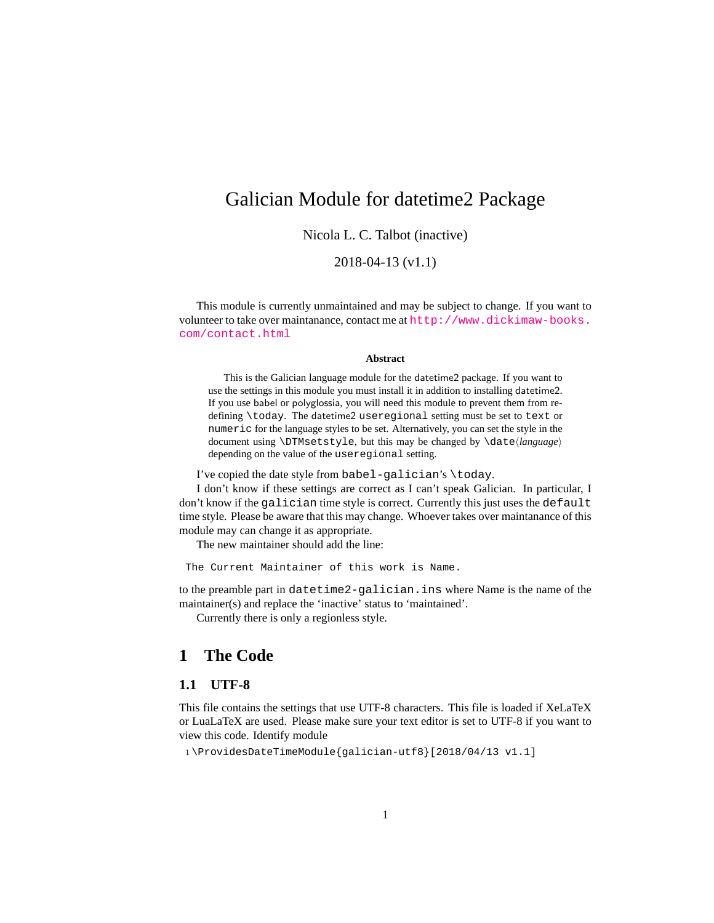## <span id="page-0-0"></span>Galician Module for datetime2 Package

Nicola L. C. Talbot (inactive)

2018-04-13 (v1.1)

This module is currently unmaintained and may be subject to change. If you want to volunteer to take over maintanance, contact me at [http://www.dickimaw-books.](http://www.dickimaw-books.com/contact.html) [com/contact.html](http://www.dickimaw-books.com/contact.html)

#### **Abstract**

This is the Galician language module for the datetime2 package. If you want to use the settings in this module you must install it in addition to installing datetime2. If you use babel or polyglossia, you will need this module to prevent them from redefining \today. The datetime2 useregional setting must be set to text or numeric for the language styles to be set. Alternatively, you can set the style in the document using \DTMsetstyle, but this may be changed by \date*⟨language⟩* depending on the value of the useregional setting.

I've copied the date style from babel-galician's \today.

I don't know if these settings are correct as I can't speak Galician. In particular, I don't know if the galician time style is correct. Currently this just uses the default time style. Please be aware that this may change. Whoever takes over maintanance of this module may can change it as appropriate.

The new maintainer should add the line:

The Current Maintainer of this work is Name.

to the preamble part in datetime2-galician.ins where Name is the name of the maintainer(s) and replace the 'inactive' status to 'maintained'.

Currently there is only a regionless style.

### **1 The Code**

#### **1.1 UTF-8**

This file contains the settings that use UTF-8 characters. This file is loaded if XeLaTeX or LuaLaTeX are used. Please make sure your text editor is set to UTF-8 if you want to view this code. Identify module

1 \ProvidesDateTimeModule{galician-utf8}[2018/04/13 v1.1]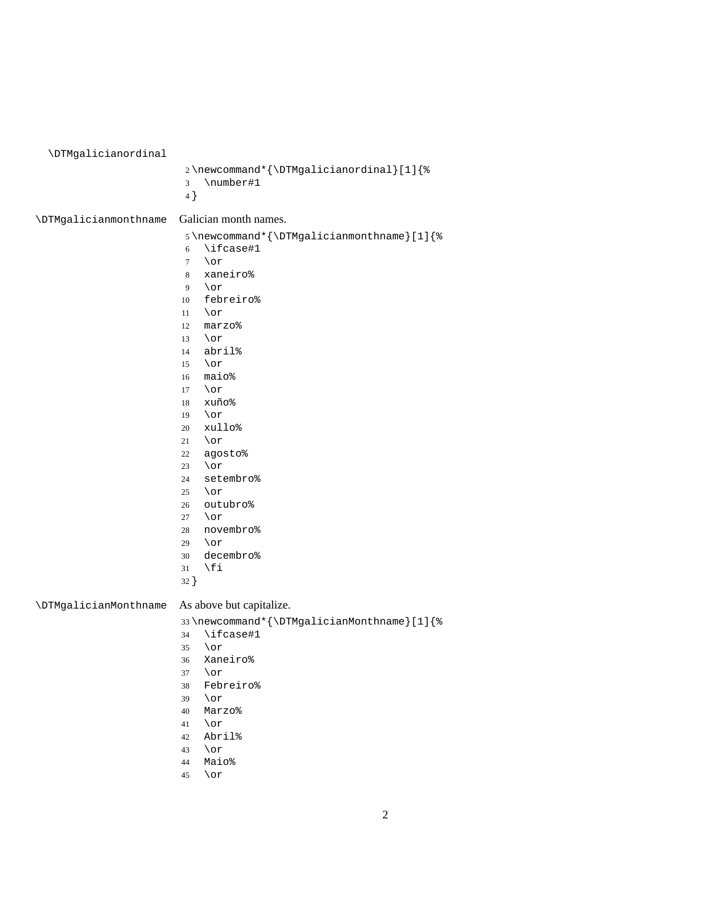<span id="page-1-0"></span>\DTMgalicianordinal \newcommand\*{\DTMgalicianordinal}[1]{% \number#1 } \DTMgalicianmonthname Galician month names. \newcommand\*{\DTMgalicianmonthname}[1]{% \ifcase#1 \or xaneiro%  $9 \overline{or}$  febreiro% \or<br> $12$  mar: marzo% \or abril% \or maio% \or xuño% \or xullo% \or agosto% \or setembro% \or outubro% \or novembro% \or decembro% \fi } \DTMgalicianMonthname As above but capitalize. \newcommand\*{\DTMgalicianMonthname}[1]{% \ifcase#1<br> $35$  \or \or Xaneiro% \or Febreiro% \or Marzo% \or Abril%

- \or
- Maio%
- \or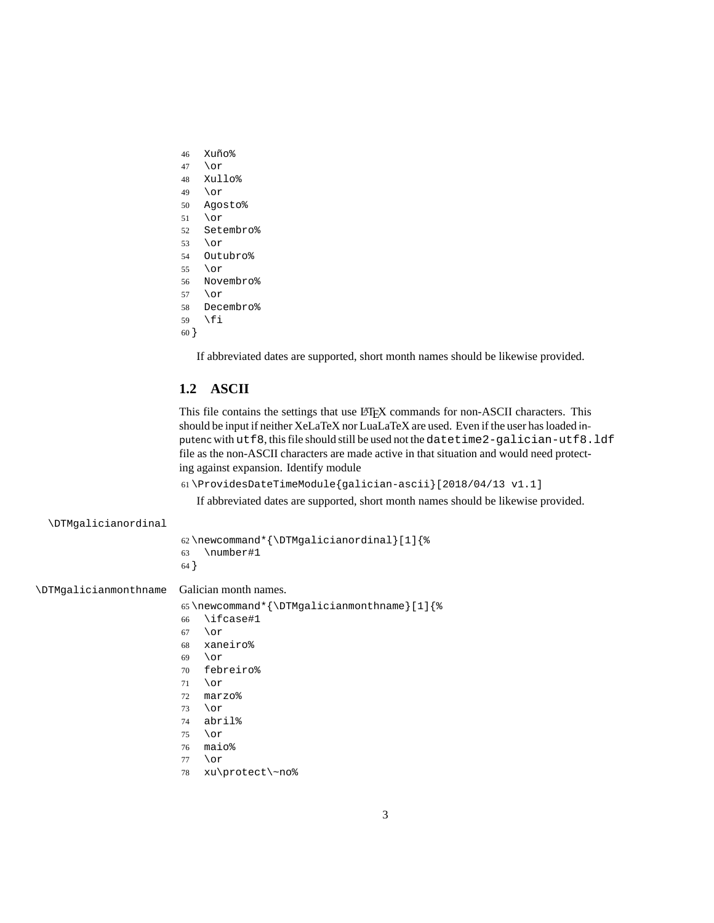- <span id="page-2-0"></span>Xuño%
- \or
- Xullo%
- \or
- Agosto%
- \or
- Setembro% \or
- Outubro%
- \or
- Novembro%
- \or
- Decembro%
- \fi

```
60 }
```
If abbreviated dates are supported, short month names should be likewise provided.

#### **1.2 ASCII**

This file contains the settings that use LATEX commands for non-ASCII characters. This should be input if neither XeLaTeX nor LuaLaTeX are used. Even if the user has loaded inputenc with utf8, this file should still be used not the datetime2-galician-utf8.ldf file as the non-ASCII characters are made active in that situation and would need protecting against expansion. Identify module

\ProvidesDateTimeModule{galician-ascii}[2018/04/13 v1.1]

If abbreviated dates are supported, short month names should be likewise provided.

#### \DTMgalicianordinal

|        |           | 62\newcommand*{\DTMgalicianordinal}[1]{% |
|--------|-----------|------------------------------------------|
| 63     | \number#1 |                                          |
| $64$ } |           |                                          |

\DTMgalicianmonthname Galician month names.

```
65 \newcommand*{\DTMgalicianmonthname}[1]{%
```
- \ifcase#1
- \or
- xaneiro%
- \or
- febreiro%
- \or
- marzo%
- \or
- abril%
- \or
- maio%
- \or
- xu\protect\~no%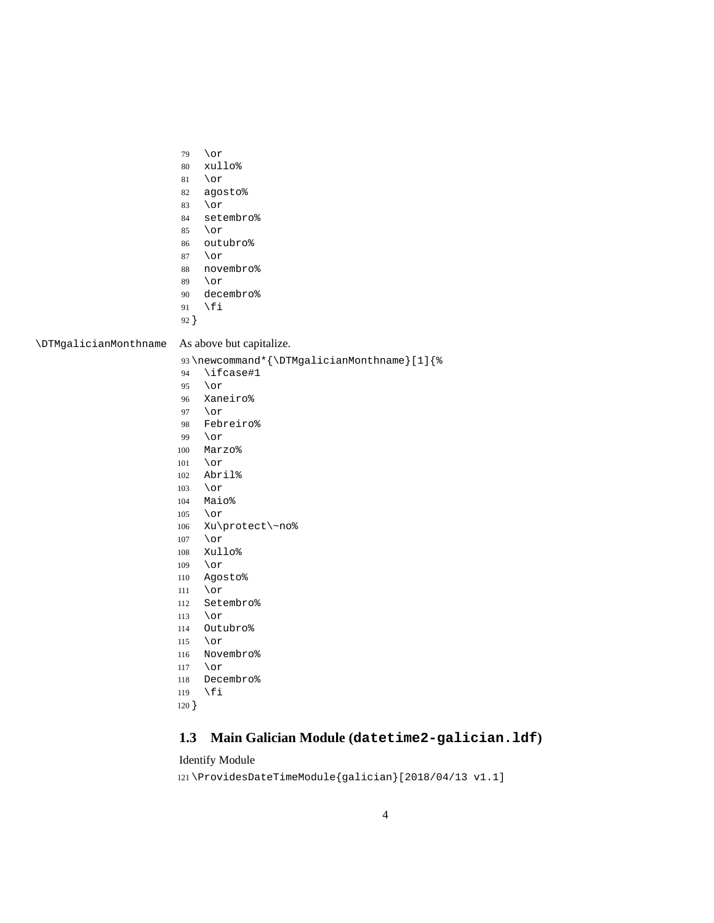- <span id="page-3-0"></span>\or
- xullo%
- \or
- agosto%
- \or
- setembro%
- \or
- outubro%
- \or
- novembro%
- \or
- decembro%
- \fi
- }

\DTMgalicianMonthname As above but capitalize.

\newcommand\*{\DTMgalicianMonthname}[1]{%

- \ifcase#1
- \or
- Xaneiro%
- \or
- Febreiro%
- \or
- Marzo%
- \or
- Abril%
- \or Maio%
- \or
- 
- Xu\protect\~no%
- \or
- Xullo%
- \or
- Agosto%
- \or
- Setembro%
- \or
- Outubro%
- \or Novembro%
- 
- \or
- Decembro%
- \fi
- }

### **1.3 Main Galician Module (datetime2-galician.ldf)**

#### Identify Module

\ProvidesDateTimeModule{galician}[2018/04/13 v1.1]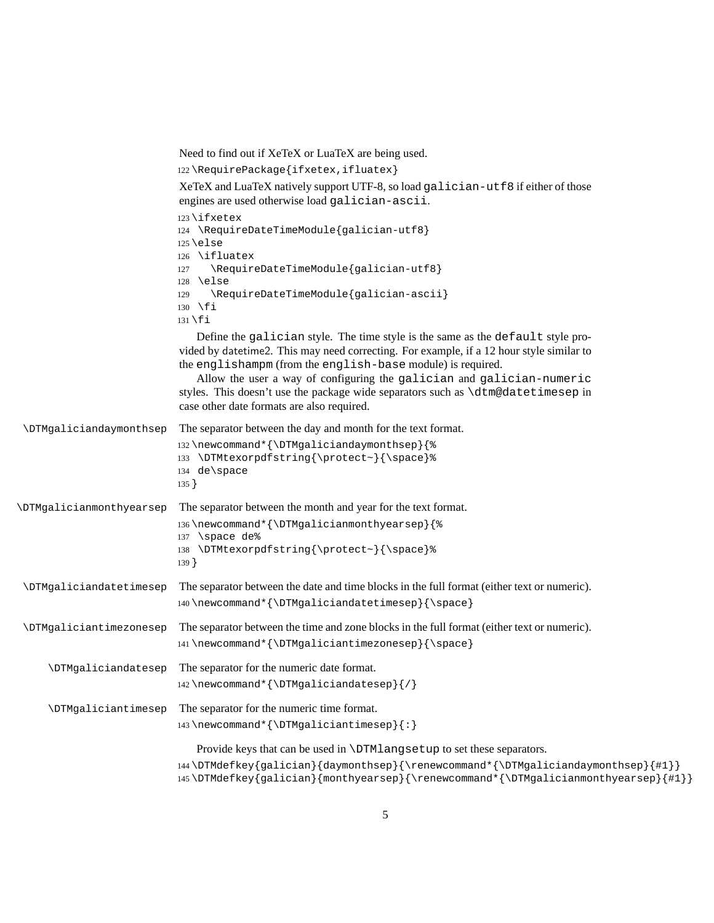<span id="page-4-0"></span>Need to find out if XeTeX or LuaTeX are being used. 122 \RequirePackage{ifxetex,ifluatex} XeTeX and LuaTeX natively support UTF-8, so load galician-utf8 if either of those engines are used otherwise load galician-ascii. 123 \ifxetex 124 \RequireDateTimeModule{galician-utf8} 125 \else 126 \ifluatex 127 \RequireDateTimeModule{galician-utf8} 128 \else 129 \RequireDateTimeModule{galician-ascii} 130 \fi 131 \fi Define the galician style. The time style is the same as the default style provided by datetime2. This may need correcting. For example, if a 12 hour style similar to the englishampm (from the english-base module) is required. Allow the user a way of configuring the galician and galician-numeric styles. This doesn't use the package wide separators such as \dtm@datetimesep in case other date formats are also required. \DTMgaliciandaymonthsep The separator between the day and month for the text format. 132 \newcommand\*{\DTMgaliciandaymonthsep}{% 133 \DTMtexorpdfstring{\protect~}{\space}% 134 de\space 135 } \DTMgalicianmonthyearsep The separator between the month and year for the text format. 136 \newcommand\*{\DTMgalicianmonthyearsep}{% 137 \space de% 138 \DTMtexorpdfstring{\protect~}{\space}% 139 } \DTMgaliciandatetimesep The separator between the date and time blocks in the full format (either text or numeric). 140 \newcommand\*{\DTMgaliciandatetimesep}{\space} \DTMgaliciantimezonesep The separator between the time and zone blocks in the full format (either text or numeric). 141 \newcommand\*{\DTMgaliciantimezonesep}{\space} \DTMgaliciandatesep The separator for the numeric date format. 142 \newcommand\*{\DTMgaliciandatesep}{/} \DTMgaliciantimesep The separator for the numeric time format. 143 \newcommand\*{\DTMgaliciantimesep}{:} Provide keys that can be used in \DTMlangsetup to set these separators. 144 \DTMdefkey{galician}{daymonthsep}{\renewcommand\*{\DTMgaliciandaymonthsep}{#1}} 145 \DTMdefkey{galician}{monthyearsep}{\renewcommand\*{\DTMgalicianmonthyearsep}{#1}}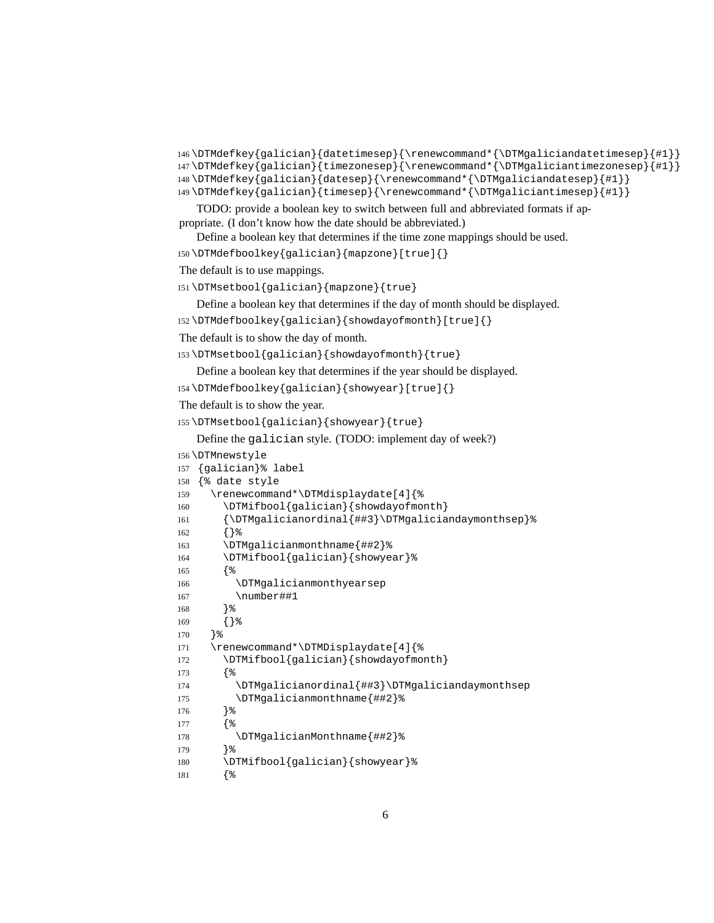```
146 \DTMdefkey{galician}{datetimesep}{\renewcommand*{\DTMgaliciandatetimesep}{#1}}
147 \DTMdefkey{galician}{timezonesep}{\renewcommand*{\DTMgaliciantimezonesep}{#1}}
148 \DTMdefkey{galician}{datesep}{\renewcommand*{\DTMgaliciandatesep}{#1}}
149 \DTMdefkey{galician}{timesep}{\renewcommand*{\DTMgaliciantimesep}{#1}}
   TODO: provide a boolean key to switch between full and abbreviated formats if ap-
propriate. (I don't know how the date should be abbreviated.)
   Define a boolean key that determines if the time zone mappings should be used.
150 \DTMdefboolkey{galician}{mapzone}[true]{}
The default is to use mappings.
151 \DTMsetbool{galician}{mapzone}{true}
   Define a boolean key that determines if the day of month should be displayed.
152 \DTMdefboolkey{galician}{showdayofmonth}[true]{}
The default is to show the day of month.
153 \DTMsetbool{galician}{showdayofmonth}{true}
   Define a boolean key that determines if the year should be displayed.
154 \DTMdefboolkey{galician}{showyear}[true]{}
The default is to show the year.
155 \DTMsetbool{galician}{showyear}{true}
   Define the galician style. (TODO: implement day of week?)
156 \DTMnewstyle
157 {galician}% label
158 {% date style
159 \renewcommand*\DTMdisplaydate[4]{%
160 \DTMifbool{galician}{showdayofmonth}
161 {\DTMgalicianordinal{##3}\DTMgaliciandaymonthsep}%
162 {}%
163 \DTMgalicianmonthname{##2}%
164 \DTMifbool{galician}{showyear}%
165 {%
166 \DTMgalicianmonthyearsep
167 \number##1
168 }%
169 {}%
170 }%
171 \renewcommand*\DTMDisplaydate[4]{%
172 \DTMifbool{galician}{showdayofmonth}
173 {%
174 \DTMgalicianordinal{##3}\DTMgaliciandaymonthsep
175 \DTMgalicianmonthname{##2}%
176 }%
177 {%
178 \DTMgalicianMonthname{##2}%
179 }%
180 \DTMifbool{galician}{showyear}%
```

```
181 {%
```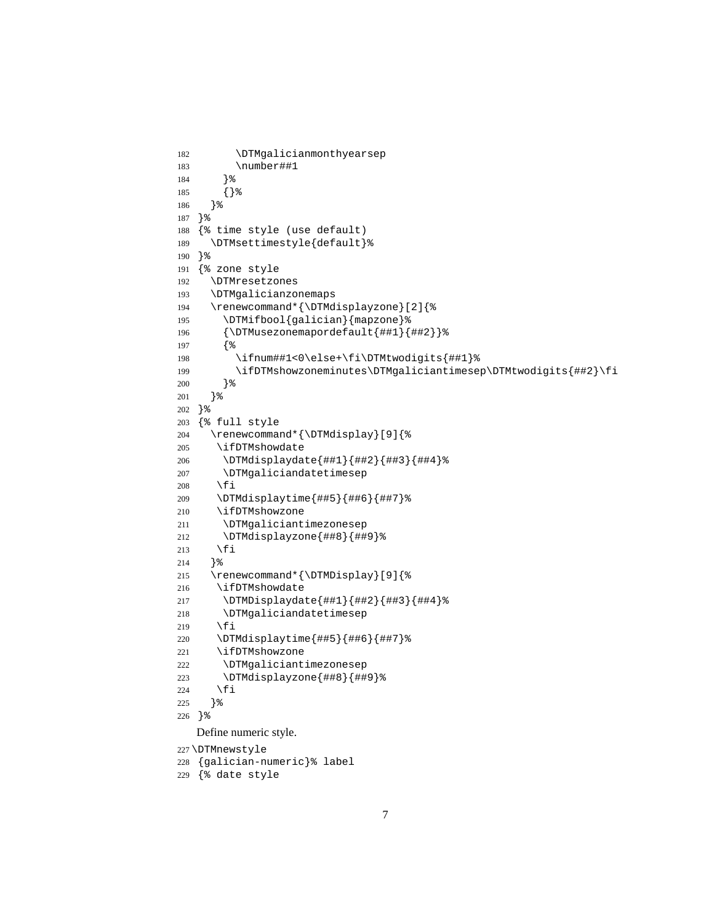```
182 \DTMgalicianmonthyearsep
183 \number##1
184 }%
185 {}%
186 }%
187 }%
188 {% time style (use default)
189 \DTMsettimestyle{default}%
190 }%
191 {% zone style
192 \DTMresetzones
193 \DTMgalicianzonemaps
194 \renewcommand*{\DTMdisplayzone}[2]{%
195 \DTMifbool{galician}{mapzone}%
196 {\DTMusezonemapordefault{##1}{##2}}%
197 {%
198 \ifnum##1<0\else+\fi\DTMtwodigits{##1}%
199 \ifDTMshowzoneminutes\DTMgaliciantimesep\DTMtwodigits{##2}\fi
200 }%
201 }%
202 }%
203 {% full style
204 \renewcommand*{\DTMdisplay}[9]{%
205 \ifDTMshowdate
206 \DTMdisplaydate{##1}{##2}{##3}{##4}%
207 \DTMgaliciandatetimesep
208 \fi
209 \DTMdisplaytime{##5}{##6}{##7}%
210 \ifDTMshowzone
211 \DTMgaliciantimezonesep
212 \DTMdisplayzone{##8}{##9}%
213 \forallfi
214 }%
215 \renewcommand*{\DTMDisplay}[9]{%
216 \ifDTMshowdate
217 \DTMDisplaydate{##1}{##2}{##3}{##4}%
218 \DTMgaliciandatetimesep
219 \fi
220 \DTMdisplaytime{##5}{##6}{##7}%
221 \ifDTMshowzone
222 \DTMgaliciantimezonesep
223 \DTMdisplayzone{##8}{##9}%
224 \fi
225 }%
226 }%
   Define numeric style.
227 \DTMnewstyle
228 {galician-numeric}% label
```

```
7
```
{% date style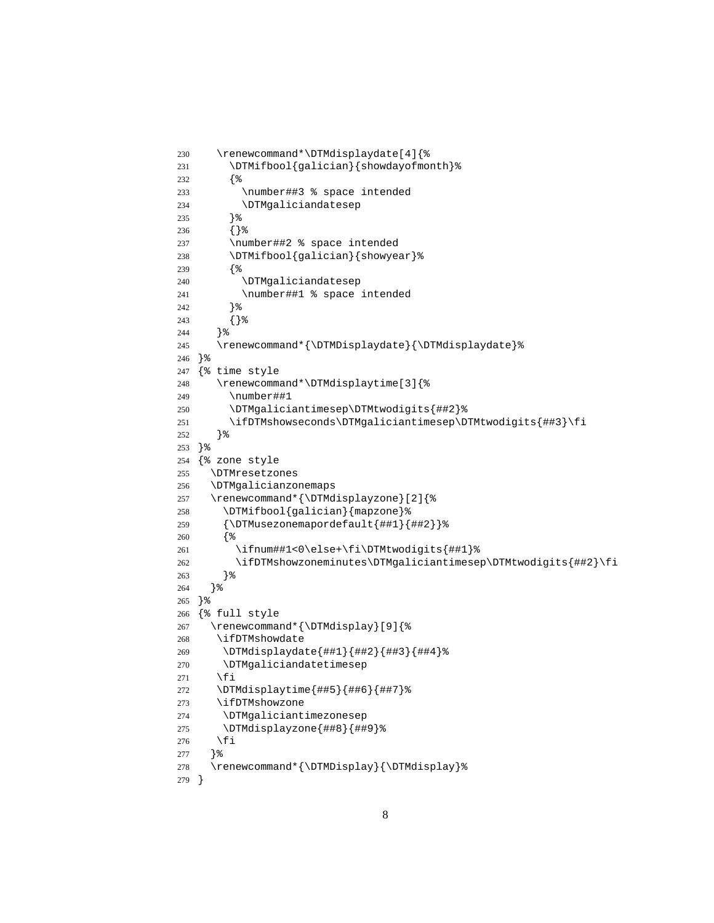```
230 \renewcommand*\DTMdisplaydate[4]{%
231 \DTMifbool{galician}{showdayofmonth}%
232 {%
233 \number##3 % space intended
234 \DTMgaliciandatesep
235 }%
236 {}%
237 \number##2 % space intended
238 \DTMifbool{galician}{showyear}%
239 {%
240 \DTMgaliciandatesep
241 \number##1 % space intended
242 }%
243 {}%
244 }%
245 \renewcommand*{\DTMDisplaydate}{\DTMdisplaydate}%
246 }%
247 {% time style
248 \renewcommand*\DTMdisplaytime[3]{%
249 \number##1
250 \DTMgaliciantimesep\DTMtwodigits{##2}%
251 \ifDTMshowseconds\DTMgaliciantimesep\DTMtwodigits{##3}\fi
252 }%
253 }%
254 {% zone style
255 \DTMresetzones
256 \DTMgalicianzonemaps
257 \renewcommand*{\DTMdisplayzone}[2]{%
258 \DTMifbool{galician}{mapzone}%
259 {\DTMusezonemapordefault{##1}{##2}}%
260 {%
261 \ifnum##1<0\else+\fi\DTMtwodigits{##1}%
262 \ifDTMshowzoneminutes\DTMgaliciantimesep\DTMtwodigits{##2}\fi
263 }%
264 }%
265 }%
266 {% full style
267 \renewcommand*{\DTMdisplay}[9]{%
268 \ifDTMshowdate
269 \DTMdisplaydate{##1}{##2}{##3}{##4}%
270 \DTMgaliciandatetimesep
271 \fi
272 \DTMdisplaytime{##5}{##6}{##7}%
273 \ifDTMshowzone
274 \DTMgaliciantimezonesep
275 \DTMdisplayzone{##8}{##9}%
276 \fi
277 }%
278 \renewcommand*{\DTMDisplay}{\DTMdisplay}%
279 }
```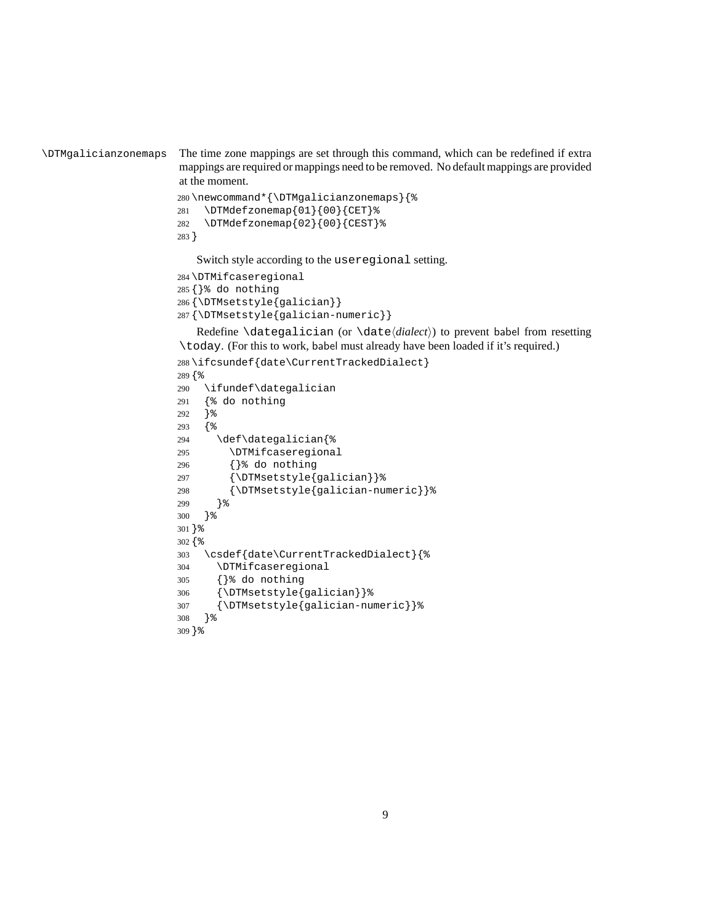```
\DTMgalicianzonemaps The time zone mappings are set through this command, which can be redefined if extra
                           mappings are required or mappings need to be removed. No default mappings are provided
                           at the moment.
```

```
280 \newcommand*{\DTMgalicianzonemaps}{%
281 \DTMdefzonemap{01}{00}{CET}%
282 \DTMdefzonemap{02}{00}{CEST}%
283 }
```
Switch style according to the useregional setting.

```
284 \DTMifcaseregional
285 {}% do nothing
286 {\DTMsetstyle{galician}}
287 {\DTMsetstyle{galician-numeric}}
```
Redefine \dategalician (or \date*⟨dialect⟩*) to prevent babel from resetting \today. (For this to work, babel must already have been loaded if it's required.)

```
288 \ifcsundef{date\CurrentTrackedDialect}
289 {%
290 \ifundef\dategalician
291 {% do nothing
292 }%
293 {%
294 \def\dategalician{%
295 \DTMifcaseregional
296 {}% do nothing
297 {\DTMsetstyle{galician}}%
298 {\DTMsetstyle{galician-numeric}}%
299 }%
300 }%
301 }%
302 {%
303 \csdef{date\CurrentTrackedDialect}{%
304 \DTMifcaseregional
305 {}% do nothing
306 {\DTMsetstyle{galician}}%
307 {\DTMsetstyle{galician-numeric}}%
308 }%
309 }%
```